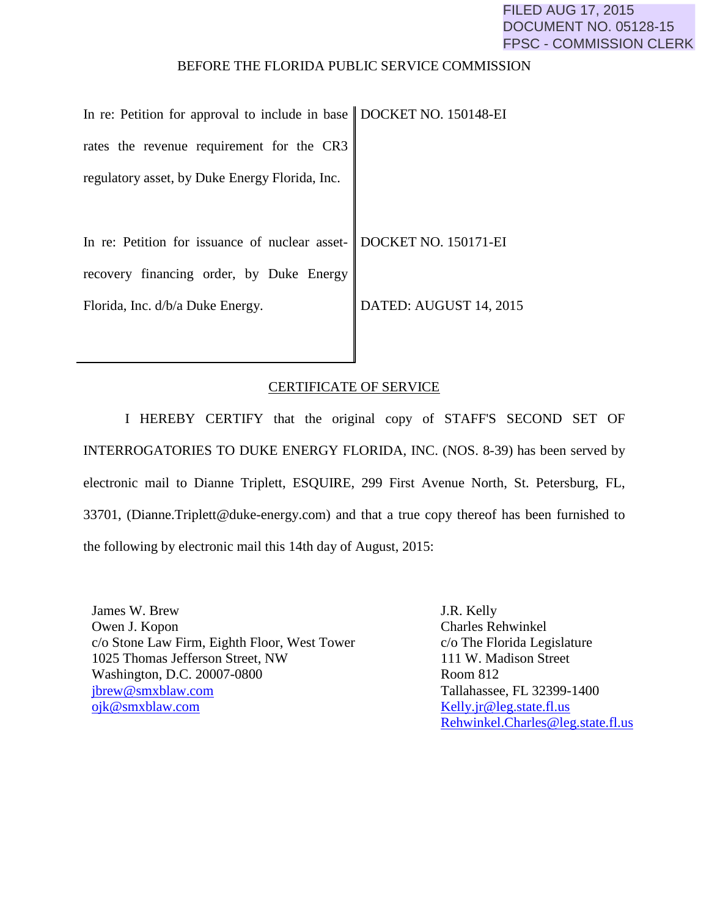## BEFORE THE FLORIDA PUBLIC SERVICE COMMISSION

| In re: Petition for approval to include in base $\parallel$ DOCKET NO. 150148-EI |                        |
|----------------------------------------------------------------------------------|------------------------|
| rates the revenue requirement for the CR3                                        |                        |
| regulatory asset, by Duke Energy Florida, Inc.                                   |                        |
|                                                                                  |                        |
| In re: Petition for issuance of nuclear asset- DOCKET NO. 150171-EI              |                        |
| recovery financing order, by Duke Energy                                         |                        |
| Florida, Inc. d/b/a Duke Energy.                                                 | DATED: AUGUST 14, 2015 |
|                                                                                  |                        |

## CERTIFICATE OF SERVICE

I HEREBY CERTIFY that the original copy of STAFF'S SECOND SET OF INTERROGATORIES TO DUKE ENERGY FLORIDA, INC. (NOS. 8-39) has been served by electronic mail to Dianne Triplett, ESQUIRE, 299 First Avenue North, St. Petersburg, FL, 33701, (Dianne.Triplett@duke-energy.com) and that a true copy thereof has been furnished to the following by electronic mail this 14th day of August, 2015:

James W. Brew Owen J. Kopon c/o Stone Law Firm, Eighth Floor, West Tower 1025 Thomas Jefferson Street, NW Washington, D.C. 20007-0800 [jbrew@smxblaw.com](mailto:jbrew@smxblaw.com) [ojk@smxblaw.com](mailto:ojk@smxblaw.com)

J.R. Kelly Charles Rehwinkel c/o The Florida Legislature 111 W. Madison Street Room 812 Tallahassee, FL 32399-1400 [Kelly.jr@leg.state.fl.us](mailto:Kelly.jr@leg.state.fl.us) [Rehwinkel.Charles@leg.state.fl.us](mailto:Rehwinkel.Charles@leg.state.fl.us)